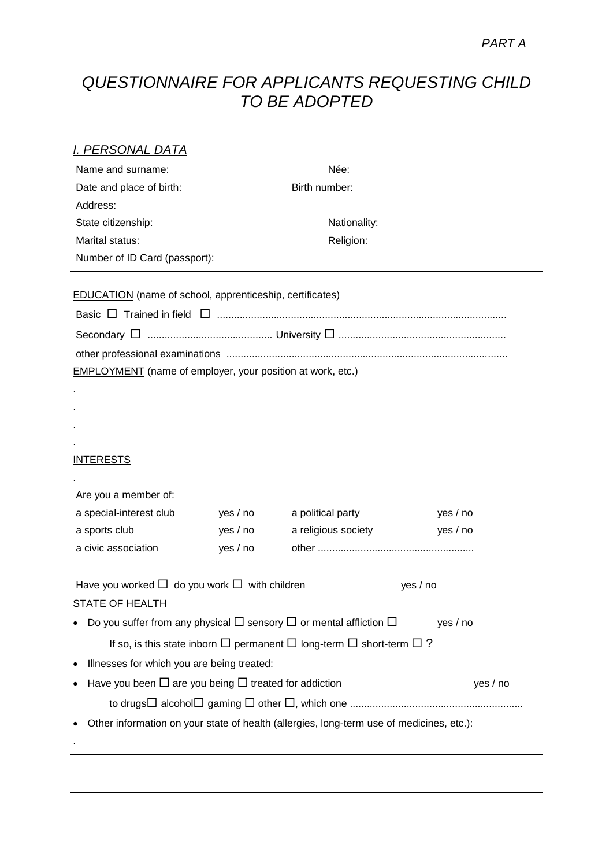٦

## *QUESTIONNAIRE FOR APPLICANTS REQUESTING CHILD TO BE ADOPTED*

- F

| <u>I. PERSONAL DATA</u>                                                                                                                                                       |          |                     |          |  |
|-------------------------------------------------------------------------------------------------------------------------------------------------------------------------------|----------|---------------------|----------|--|
| Name and surname:                                                                                                                                                             |          | Née:                |          |  |
| Date and place of birth:                                                                                                                                                      |          | Birth number:       |          |  |
| Address:                                                                                                                                                                      |          |                     |          |  |
| State citizenship:                                                                                                                                                            |          | Nationality:        |          |  |
| Marital status:                                                                                                                                                               |          | Religion:           |          |  |
| Number of ID Card (passport):                                                                                                                                                 |          |                     |          |  |
|                                                                                                                                                                               |          |                     |          |  |
| <b>EDUCATION</b> (name of school, apprenticeship, certificates)                                                                                                               |          |                     |          |  |
|                                                                                                                                                                               |          |                     |          |  |
|                                                                                                                                                                               |          |                     |          |  |
|                                                                                                                                                                               |          |                     |          |  |
| <b>EMPLOYMENT</b> (name of employer, your position at work, etc.)                                                                                                             |          |                     |          |  |
|                                                                                                                                                                               |          |                     |          |  |
|                                                                                                                                                                               |          |                     |          |  |
|                                                                                                                                                                               |          |                     |          |  |
|                                                                                                                                                                               |          |                     |          |  |
| <b>INTERESTS</b>                                                                                                                                                              |          |                     |          |  |
|                                                                                                                                                                               |          |                     |          |  |
| Are you a member of:                                                                                                                                                          |          |                     |          |  |
| a special-interest club                                                                                                                                                       | yes / no | a political party   | yes / no |  |
| a sports club                                                                                                                                                                 | yes / no | a religious society | yes / no |  |
| a civic association                                                                                                                                                           | yes / no |                     |          |  |
| Have you worked $\Box$ do you work $\Box$ with children                                                                                                                       |          |                     | yes / no |  |
| <b>STATE OF HEALTH</b>                                                                                                                                                        |          |                     |          |  |
|                                                                                                                                                                               |          |                     | yes / no |  |
| Do you suffer from any physical $\Box$ sensory $\Box$ or mental affliction $\Box$<br>If so, is this state inborn $\Box$ permanent $\Box$ long-term $\Box$ short-term $\Box$ ? |          |                     |          |  |
| Illnesses for which you are being treated:<br>$\bullet$                                                                                                                       |          |                     |          |  |
| Have you been $\Box$ are you being $\Box$ treated for addiction<br>٠                                                                                                          |          |                     | yes / no |  |
|                                                                                                                                                                               |          |                     |          |  |
| Other information on your state of health (allergies, long-term use of medicines, etc.):                                                                                      |          |                     |          |  |
|                                                                                                                                                                               |          |                     |          |  |
|                                                                                                                                                                               |          |                     |          |  |
|                                                                                                                                                                               |          |                     |          |  |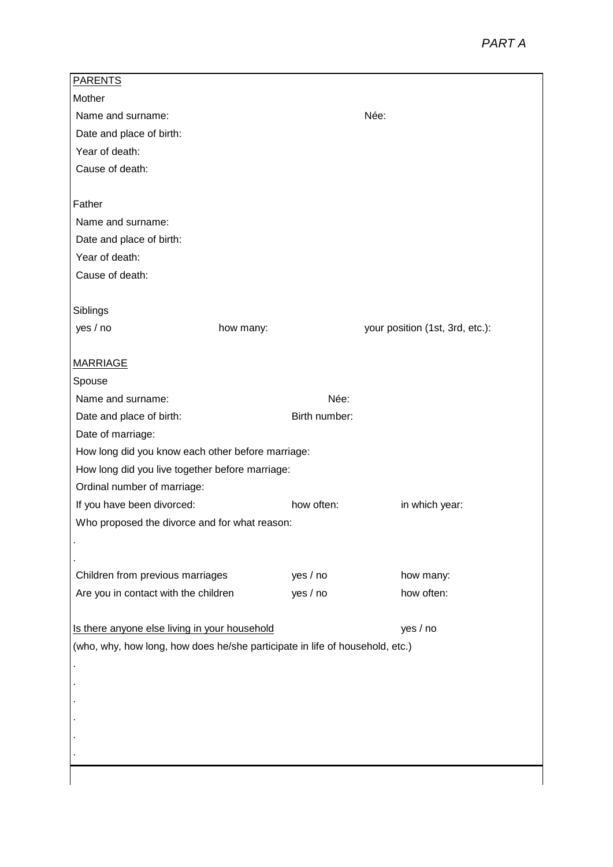| <b>PARENTS</b>                                                                                                                            |           |               |                                 |
|-------------------------------------------------------------------------------------------------------------------------------------------|-----------|---------------|---------------------------------|
| Mother                                                                                                                                    |           |               |                                 |
| Name and surname:                                                                                                                         |           |               | Née:                            |
| Date and place of birth:                                                                                                                  |           |               |                                 |
| Year of death:                                                                                                                            |           |               |                                 |
| Cause of death:                                                                                                                           |           |               |                                 |
|                                                                                                                                           |           |               |                                 |
| Father                                                                                                                                    |           |               |                                 |
| Name and surname:                                                                                                                         |           |               |                                 |
| Date and place of birth:                                                                                                                  |           |               |                                 |
| Year of death:                                                                                                                            |           |               |                                 |
| Cause of death:                                                                                                                           |           |               |                                 |
|                                                                                                                                           |           |               |                                 |
| Siblings                                                                                                                                  |           |               |                                 |
| yes / no                                                                                                                                  | how many: |               | your position (1st, 3rd, etc.): |
|                                                                                                                                           |           |               |                                 |
| <b>MARRIAGE</b>                                                                                                                           |           |               |                                 |
| Spouse                                                                                                                                    |           |               |                                 |
| Name and surname:                                                                                                                         |           | Née:          |                                 |
| Date and place of birth:                                                                                                                  |           | Birth number: |                                 |
| Date of marriage:                                                                                                                         |           |               |                                 |
| How long did you know each other before marriage:                                                                                         |           |               |                                 |
| How long did you live together before marriage:                                                                                           |           |               |                                 |
| Ordinal number of marriage:                                                                                                               |           |               |                                 |
| If you have been divorced:                                                                                                                |           | how often:    | in which year:                  |
| Who proposed the divorce and for what reason:                                                                                             |           |               |                                 |
|                                                                                                                                           |           |               |                                 |
|                                                                                                                                           |           |               |                                 |
| Children from previous marriages                                                                                                          |           | yes / no      | how many:                       |
| Are you in contact with the children                                                                                                      |           | yes / no      | how often:                      |
|                                                                                                                                           |           |               |                                 |
| yes / no<br>Is there anyone else living in your household<br>(who, why, how long, how does he/she participate in life of household, etc.) |           |               |                                 |
|                                                                                                                                           |           |               |                                 |
|                                                                                                                                           |           |               |                                 |
|                                                                                                                                           |           |               |                                 |
|                                                                                                                                           |           |               |                                 |
|                                                                                                                                           |           |               |                                 |
|                                                                                                                                           |           |               |                                 |
|                                                                                                                                           |           |               |                                 |
|                                                                                                                                           |           |               |                                 |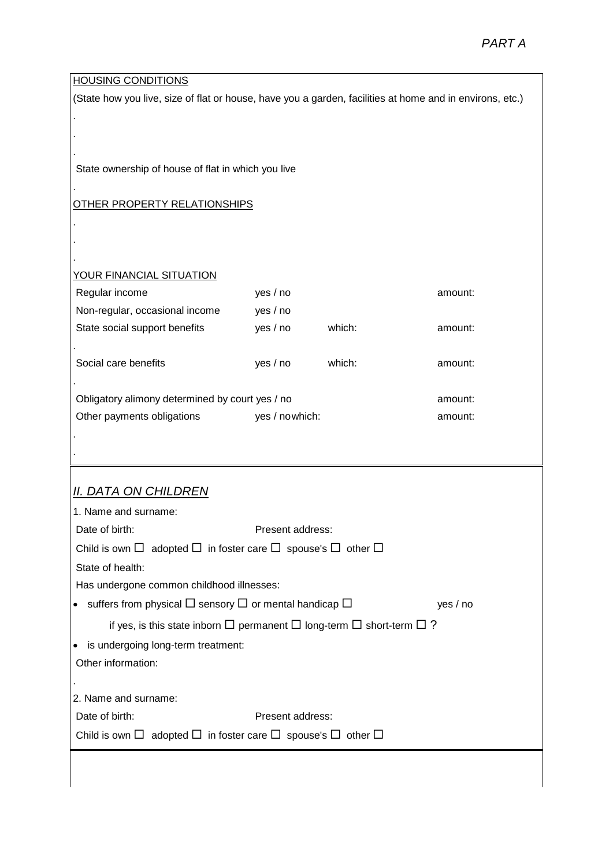|                                                                                           | (State how you live, size of flat or house, have you a garden, facilities at home and in environs, etc.) |  |  |  |  |  |
|-------------------------------------------------------------------------------------------|----------------------------------------------------------------------------------------------------------|--|--|--|--|--|
|                                                                                           |                                                                                                          |  |  |  |  |  |
|                                                                                           |                                                                                                          |  |  |  |  |  |
|                                                                                           |                                                                                                          |  |  |  |  |  |
| State ownership of house of flat in which you live                                        |                                                                                                          |  |  |  |  |  |
|                                                                                           |                                                                                                          |  |  |  |  |  |
| <b>OTHER PROPERTY RELATIONSHIPS</b>                                                       |                                                                                                          |  |  |  |  |  |
|                                                                                           |                                                                                                          |  |  |  |  |  |
|                                                                                           |                                                                                                          |  |  |  |  |  |
|                                                                                           |                                                                                                          |  |  |  |  |  |
| <b>YOUR FINANCIAL SITUATION</b>                                                           |                                                                                                          |  |  |  |  |  |
| Regular income<br>yes / no<br>amount:                                                     |                                                                                                          |  |  |  |  |  |
| Non-regular, occasional income<br>yes / no                                                |                                                                                                          |  |  |  |  |  |
| State social support benefits<br>yes / no<br>which:<br>amount:                            |                                                                                                          |  |  |  |  |  |
|                                                                                           |                                                                                                          |  |  |  |  |  |
| Social care benefits<br>which:<br>yes / no<br>amount:                                     |                                                                                                          |  |  |  |  |  |
|                                                                                           |                                                                                                          |  |  |  |  |  |
| Obligatory alimony determined by court yes / no<br>amount:                                |                                                                                                          |  |  |  |  |  |
| Other payments obligations<br>yes / nowhich:<br>amount:                                   |                                                                                                          |  |  |  |  |  |
|                                                                                           |                                                                                                          |  |  |  |  |  |
|                                                                                           |                                                                                                          |  |  |  |  |  |
|                                                                                           |                                                                                                          |  |  |  |  |  |
| <u>II. DATA ON CHILDREN</u>                                                               |                                                                                                          |  |  |  |  |  |
| 1. Name and surname:                                                                      |                                                                                                          |  |  |  |  |  |
| Date of birth:<br>Present address:                                                        |                                                                                                          |  |  |  |  |  |
| Child is own $\Box$ adopted $\Box$ in foster care $\Box$ spouse's $\Box$ other $\Box$     |                                                                                                          |  |  |  |  |  |
| State of health:                                                                          |                                                                                                          |  |  |  |  |  |
| Has undergone common childhood illnesses:                                                 |                                                                                                          |  |  |  |  |  |
| • suffers from physical $\Box$ sensory $\Box$ or mental handicap $\Box$<br>yes / no       |                                                                                                          |  |  |  |  |  |
| if yes, is this state inborn $\Box$ permanent $\Box$ long-term $\Box$ short-term $\Box$ ? |                                                                                                          |  |  |  |  |  |
| is undergoing long-term treatment:<br>$\bullet$                                           |                                                                                                          |  |  |  |  |  |
| Other information:                                                                        |                                                                                                          |  |  |  |  |  |
|                                                                                           |                                                                                                          |  |  |  |  |  |
| 2. Name and surname:                                                                      |                                                                                                          |  |  |  |  |  |
| Date of birth:<br>Present address:                                                        |                                                                                                          |  |  |  |  |  |
| Child is own $\Box$ adopted $\Box$ in foster care $\Box$ spouse's $\Box$ other $\Box$     |                                                                                                          |  |  |  |  |  |
|                                                                                           |                                                                                                          |  |  |  |  |  |